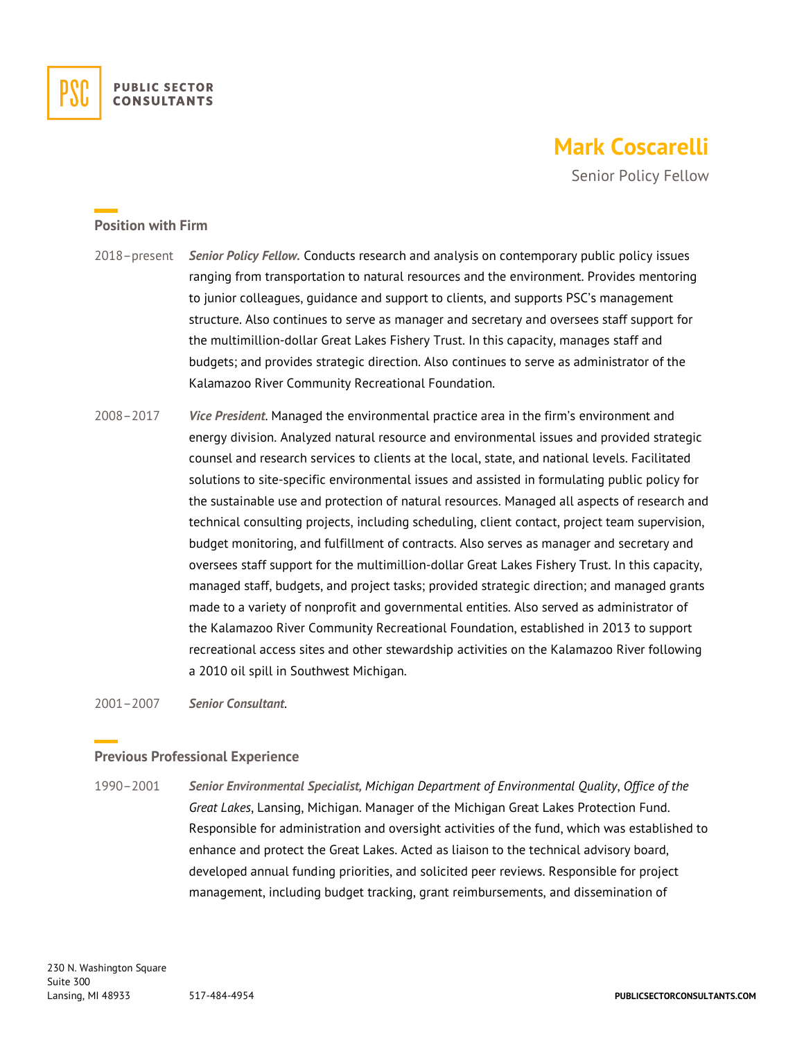

# **Mark Coscarelli**

Senior Policy Fellow

### **Position with Firm**

- 2018–present *Senior Policy Fellow.* Conducts research and analysis on contemporary public policy issues ranging from transportation to natural resources and the environment. Provides mentoring to junior colleagues, guidance and support to clients, and supports PSC's management structure. Also continues to serve as manager and secretary and oversees staff support for the multimillion-dollar Great Lakes Fishery Trust. In this capacity, manages staff and budgets; and provides strategic direction. Also continues to serve as administrator of the Kalamazoo River Community Recreational Foundation.
- 2008–2017 *Vice President*. Managed the environmental practice area in the firm's environment and energy division. Analyzed natural resource and environmental issues and provided strategic counsel and research services to clients at the local, state, and national levels. Facilitated solutions to site-specific environmental issues and assisted in formulating public policy for the sustainable use and protection of natural resources. Managed all aspects of research and technical consulting projects, including scheduling, client contact, project team supervision, budget monitoring, and fulfillment of contracts. Also serves as manager and secretary and oversees staff support for the multimillion-dollar Great Lakes Fishery Trust. In this capacity, managed staff, budgets, and project tasks; provided strategic direction; and managed grants made to a variety of nonprofit and governmental entities. Also served as administrator of the Kalamazoo River Community Recreational Foundation, established in 2013 to support recreational access sites and other stewardship activities on the Kalamazoo River following a 2010 oil spill in Southwest Michigan.

2001–2007 *Senior Consultant*.

#### **Previous Professional Experience**

1990–2001 *Senior Environmental Specialist, Michigan Department of Environmental Quality*, *Office of the Great Lakes*, Lansing, Michigan. Manager of the Michigan Great Lakes Protection Fund. Responsible for administration and oversight activities of the fund, which was established to enhance and protect the Great Lakes. Acted as liaison to the technical advisory board, developed annual funding priorities, and solicited peer reviews. Responsible for project management, including budget tracking, grant reimbursements, and dissemination of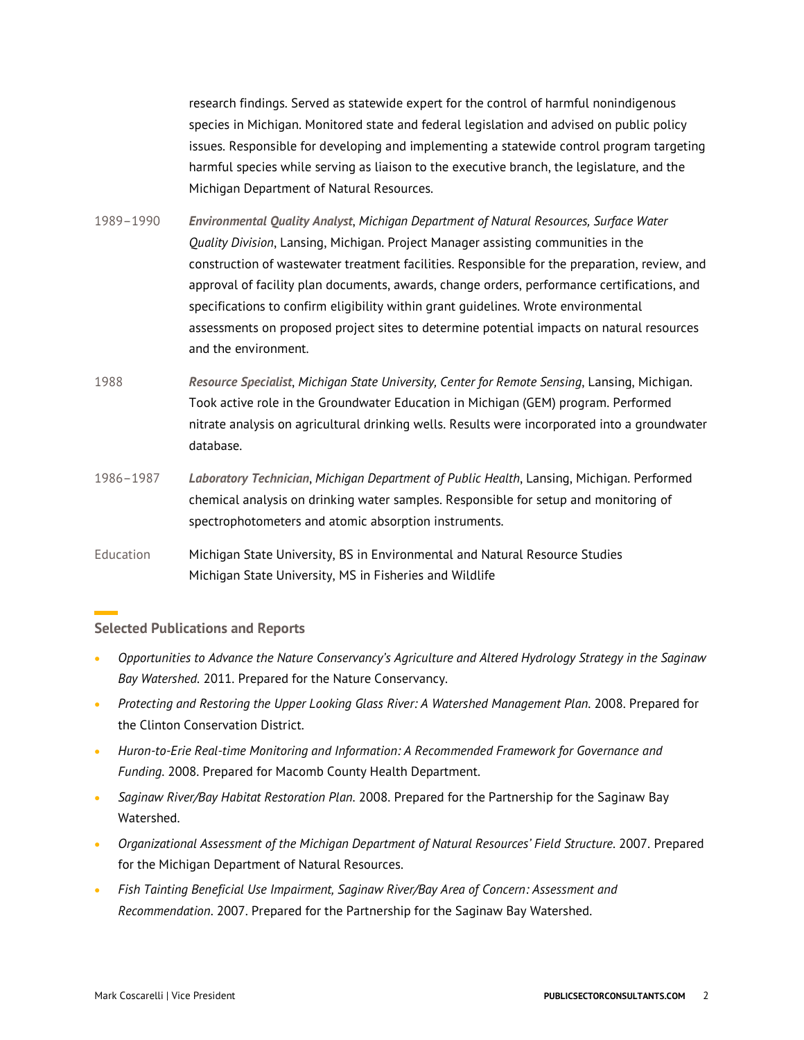research findings. Served as statewide expert for the control of harmful nonindigenous species in Michigan. Monitored state and federal legislation and advised on public policy issues. Responsible for developing and implementing a statewide control program targeting harmful species while serving as liaison to the executive branch, the legislature, and the Michigan Department of Natural Resources.

- 1989–1990 *Environmental Quality Analyst*, *Michigan Department of Natural Resources, Surface Water Quality Division*, Lansing, Michigan. Project Manager assisting communities in the construction of wastewater treatment facilities. Responsible for the preparation, review, and approval of facility plan documents, awards, change orders, performance certifications, and specifications to confirm eligibility within grant guidelines. Wrote environmental assessments on proposed project sites to determine potential impacts on natural resources and the environment.
- 1988 *Resource Specialist*, *Michigan State University, Center for Remote Sensing*, Lansing, Michigan. Took active role in the Groundwater Education in Michigan (GEM) program. Performed nitrate analysis on agricultural drinking wells. Results were incorporated into a groundwater database.
- 1986–1987 *Laboratory Technician*, *Michigan Department of Public Health*, Lansing, Michigan. Performed chemical analysis on drinking water samples. Responsible for setup and monitoring of spectrophotometers and atomic absorption instruments.
- Education Michigan State University, BS in Environmental and Natural Resource Studies Michigan State University, MS in Fisheries and Wildlife

## **Selected Publications and Reports**

- *Opportunities to Advance the Nature Conservancy's Agriculture and Altered Hydrology Strategy in the Saginaw Bay Watershed*. 2011. Prepared for the Nature Conservancy.
- *Protecting and Restoring the Upper Looking Glass River: A Watershed Management Plan*. 2008. Prepared for the Clinton Conservation District.
- *Huron-to-Erie Real-time Monitoring and Information: A Recommended Framework for Governance and Funding*. 2008. Prepared for Macomb County Health Department.
- *Saginaw River/Bay Habitat Restoration Plan*. 2008. Prepared for the Partnership for the Saginaw Bay Watershed.
- *Organizational Assessment of the Michigan Department of Natural Resources' Field Structure*. 2007. Prepared for the Michigan Department of Natural Resources.
- *Fish Tainting Beneficial Use Impairment, Saginaw River/Bay Area of Concern: Assessment and Recommendation*. 2007. Prepared for the Partnership for the Saginaw Bay Watershed.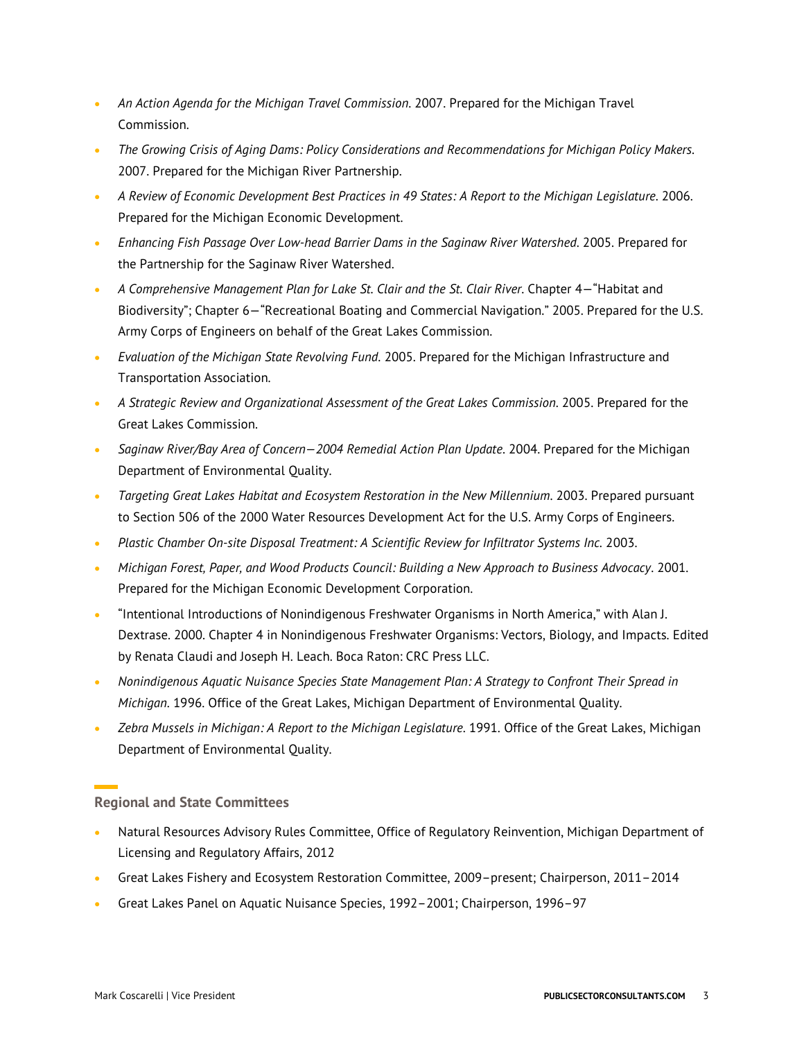- *An Action Agenda for the Michigan Travel Commission*. 2007. Prepared for the Michigan Travel Commission.
- *The Growing Crisis of Aging Dams: Policy Considerations and Recommendations for Michigan Policy Makers*. 2007. Prepared for the Michigan River Partnership.
- *A Review of Economic Development Best Practices in 49 States: A Report to the Michigan Legislature*. 2006. Prepared for the Michigan Economic Development.
- *Enhancing Fish Passage Over Low-head Barrier Dams in the Saginaw River Watershed*. 2005. Prepared for the Partnership for the Saginaw River Watershed.
- *A Comprehensive Management Plan for Lake St. Clair and the St. Clair River*. Chapter 4—"Habitat and Biodiversity"; Chapter 6—"Recreational Boating and Commercial Navigation." 2005. Prepared for the U.S. Army Corps of Engineers on behalf of the Great Lakes Commission.
- *Evaluation of the Michigan State Revolving Fund*. 2005. Prepared for the Michigan Infrastructure and Transportation Association.
- *A Strategic Review and Organizational Assessment of the Great Lakes Commission*. 2005. Prepared for the Great Lakes Commission.
- *Saginaw River/Bay Area of Concern—2004 Remedial Action Plan Update*. 2004. Prepared for the Michigan Department of Environmental Quality.
- *Targeting Great Lakes Habitat and Ecosystem Restoration in the New Millennium*. 2003. Prepared pursuant to Section 506 of the 2000 Water Resources Development Act for the U.S. Army Corps of Engineers.
- *Plastic Chamber On-site Disposal Treatment: A Scientific Review for Infiltrator Systems Inc.* 2003.
- *Michigan Forest, Paper, and Wood Products Council: Building a New Approach to Business Advocacy*. 2001. Prepared for the Michigan Economic Development Corporation.
- "Intentional Introductions of Nonindigenous Freshwater Organisms in North America," with Alan J. Dextrase. 2000. Chapter 4 in Nonindigenous Freshwater Organisms: Vectors, Biology, and Impacts. Edited by Renata Claudi and Joseph H. Leach. Boca Raton: CRC Press LLC.
- *Nonindigenous Aquatic Nuisance Species State Management Plan: A Strategy to Confront Their Spread in Michigan*. 1996. Office of the Great Lakes, Michigan Department of Environmental Quality.
- *Zebra Mussels in Michigan: A Report to the Michigan Legislature*. 1991. Office of the Great Lakes, Michigan Department of Environmental Quality.

# **Regional and State Committees**

- Natural Resources Advisory Rules Committee, Office of Regulatory Reinvention, Michigan Department of Licensing and Regulatory Affairs, 2012
- Great Lakes Fishery and Ecosystem Restoration Committee, 2009–present; Chairperson, 2011–2014
- Great Lakes Panel on Aquatic Nuisance Species, 1992–2001; Chairperson, 1996–97